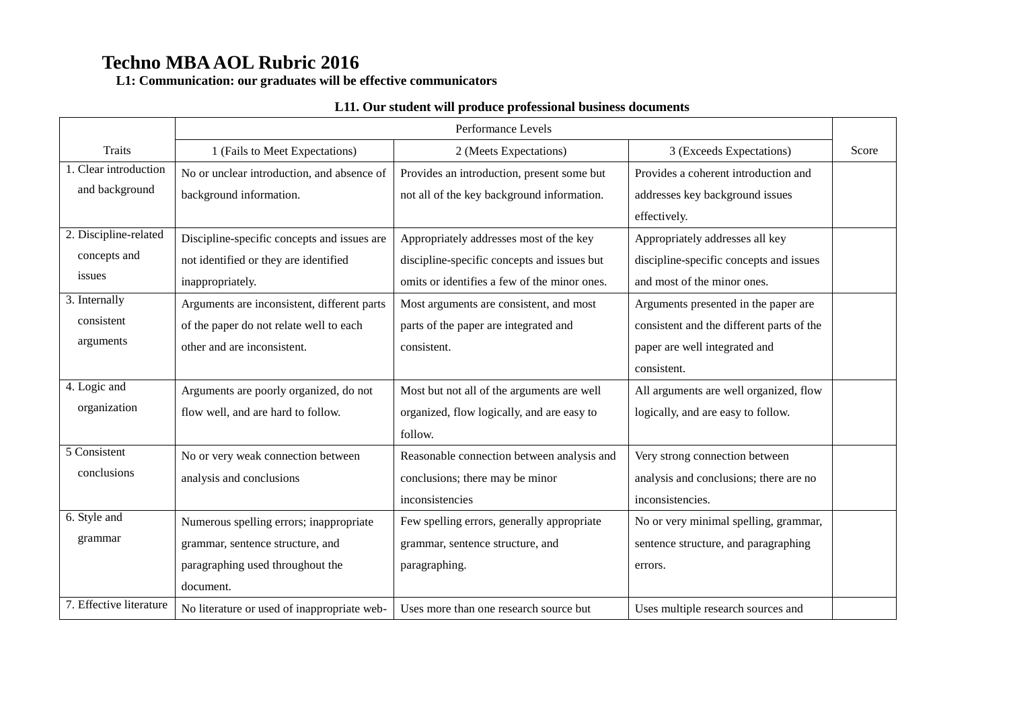**L1: Communication: our graduates will be effective communicators**

|                         |                                             | Performance Levels                           |                                           |       |
|-------------------------|---------------------------------------------|----------------------------------------------|-------------------------------------------|-------|
| Traits                  | 1 (Fails to Meet Expectations)              | 2 (Meets Expectations)                       | 3 (Exceeds Expectations)                  | Score |
| 1. Clear introduction   | No or unclear introduction, and absence of  | Provides an introduction, present some but   | Provides a coherent introduction and      |       |
| and background          | background information.                     | not all of the key background information.   | addresses key background issues           |       |
|                         |                                             |                                              | effectively.                              |       |
| 2. Discipline-related   | Discipline-specific concepts and issues are | Appropriately addresses most of the key      | Appropriately addresses all key           |       |
| concepts and            | not identified or they are identified       | discipline-specific concepts and issues but  | discipline-specific concepts and issues   |       |
| issues                  | inappropriately.                            | omits or identifies a few of the minor ones. | and most of the minor ones.               |       |
| 3. Internally           | Arguments are inconsistent, different parts | Most arguments are consistent, and most      | Arguments presented in the paper are      |       |
| consistent              | of the paper do not relate well to each     | parts of the paper are integrated and        | consistent and the different parts of the |       |
| arguments               | other and are inconsistent.                 | consistent.                                  | paper are well integrated and             |       |
|                         |                                             |                                              | consistent.                               |       |
| 4. Logic and            | Arguments are poorly organized, do not      | Most but not all of the arguments are well   | All arguments are well organized, flow    |       |
| organization            | flow well, and are hard to follow.          | organized, flow logically, and are easy to   | logically, and are easy to follow.        |       |
|                         |                                             | follow.                                      |                                           |       |
| 5 Consistent            | No or very weak connection between          | Reasonable connection between analysis and   | Very strong connection between            |       |
| conclusions             | analysis and conclusions                    | conclusions; there may be minor              | analysis and conclusions; there are no    |       |
|                         |                                             | inconsistencies                              | inconsistencies.                          |       |
| 6. Style and            | Numerous spelling errors; inappropriate     | Few spelling errors, generally appropriate   | No or very minimal spelling, grammar,     |       |
| grammar                 | grammar, sentence structure, and            | grammar, sentence structure, and             | sentence structure, and paragraphing      |       |
|                         | paragraphing used throughout the            | paragraphing.                                | errors.                                   |       |
|                         | document.                                   |                                              |                                           |       |
| 7. Effective literature | No literature or used of inappropriate web- | Uses more than one research source but       | Uses multiple research sources and        |       |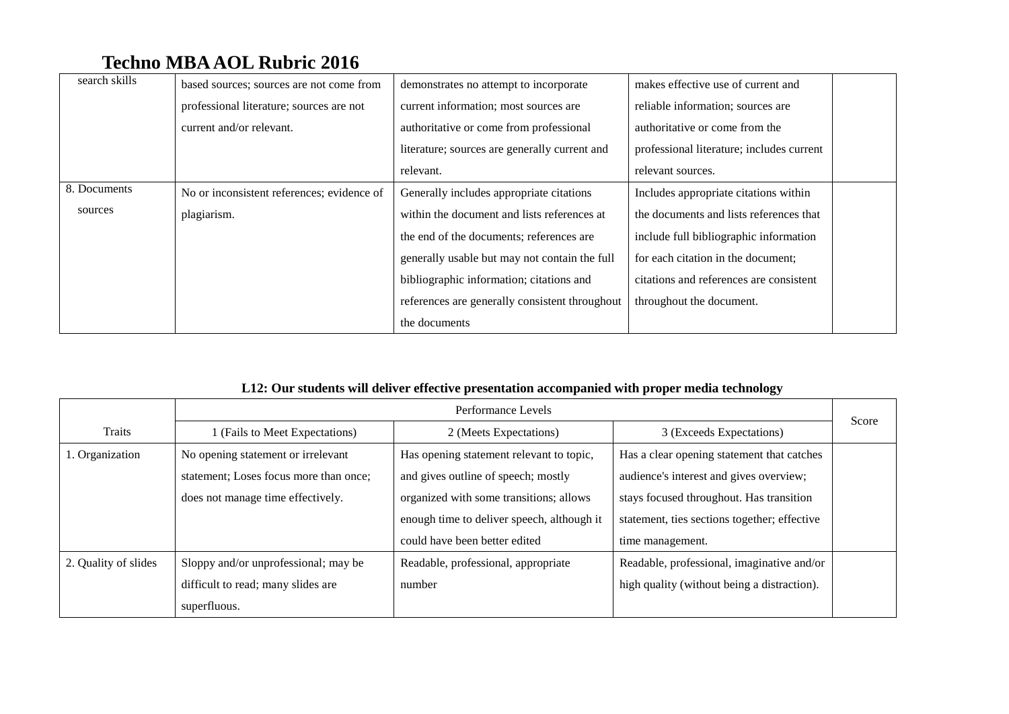| search skills | based sources; sources are not come from   | demonstrates no attempt to incorporate         | makes effective use of current and        |
|---------------|--------------------------------------------|------------------------------------------------|-------------------------------------------|
|               | professional literature; sources are not   | current information; most sources are          | reliable information; sources are         |
|               | current and/or relevant.                   | authoritative or come from professional        | authoritative or come from the            |
|               |                                            | literature; sources are generally current and  | professional literature; includes current |
|               |                                            | relevant.                                      | relevant sources.                         |
| 8. Documents  | No or inconsistent references; evidence of | Generally includes appropriate citations       | Includes appropriate citations within     |
| sources       | plagiarism.                                | within the document and lists references at    | the documents and lists references that   |
|               |                                            | the end of the documents; references are       | include full bibliographic information    |
|               |                                            | generally usable but may not contain the full  | for each citation in the document;        |
|               |                                            | bibliographic information; citations and       | citations and references are consistent   |
|               |                                            | references are generally consistent throughout | throughout the document.                  |
|               |                                            | the documents                                  |                                           |

### **L12: Our students will deliver effective presentation accompanied with proper media technology**

|                      | Performance Levels                     |                                            |                                              | Score |
|----------------------|----------------------------------------|--------------------------------------------|----------------------------------------------|-------|
| Traits               | (Fails to Meet Expectations)           | 2 (Meets Expectations)                     | 3 (Exceeds Expectations)                     |       |
| 1. Organization      | No opening statement or irrelevant     | Has opening statement relevant to topic,   | Has a clear opening statement that catches   |       |
|                      | statement; Loses focus more than once; | and gives outline of speech; mostly        | audience's interest and gives overview;      |       |
|                      | does not manage time effectively.      | organized with some transitions; allows    | stays focused throughout. Has transition     |       |
|                      |                                        | enough time to deliver speech, although it | statement, ties sections together; effective |       |
|                      |                                        | could have been better edited              | time management.                             |       |
| 2. Quality of slides | Sloppy and/or unprofessional; may be   | Readable, professional, appropriate        | Readable, professional, imaginative and/or   |       |
|                      | difficult to read; many slides are     | number                                     | high quality (without being a distraction).  |       |
|                      | superfluous.                           |                                            |                                              |       |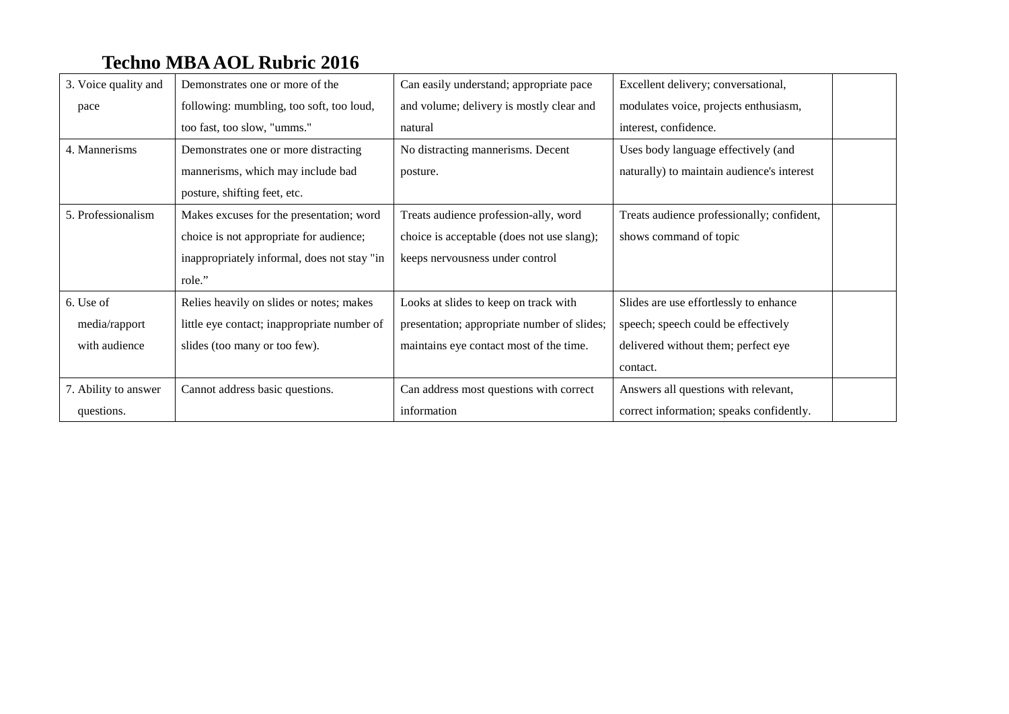| 3. Voice quality and | Demonstrates one or more of the             | Can easily understand; appropriate pace     | Excellent delivery; conversational,        |
|----------------------|---------------------------------------------|---------------------------------------------|--------------------------------------------|
| pace                 | following: mumbling, too soft, too loud,    | and volume; delivery is mostly clear and    | modulates voice, projects enthusiasm,      |
|                      | too fast, too slow, "umms."                 | natural                                     | interest, confidence.                      |
| 4. Mannerisms        | Demonstrates one or more distracting        | No distracting mannerisms. Decent           | Uses body language effectively (and        |
|                      | mannerisms, which may include bad           | posture.                                    | naturally) to maintain audience's interest |
|                      | posture, shifting feet, etc.                |                                             |                                            |
| 5. Professionalism   | Makes excuses for the presentation; word    | Treats audience profession-ally, word       | Treats audience professionally; confident, |
|                      | choice is not appropriate for audience;     | choice is acceptable (does not use slang);  | shows command of topic                     |
|                      | inappropriately informal, does not stay "in | keeps nervousness under control             |                                            |
|                      | role."                                      |                                             |                                            |
| 6. Use of            | Relies heavily on slides or notes; makes    | Looks at slides to keep on track with       | Slides are use effortlessly to enhance     |
| media/rapport        | little eye contact; inappropriate number of | presentation; appropriate number of slides; | speech; speech could be effectively        |
| with audience        | slides (too many or too few).               | maintains eye contact most of the time.     | delivered without them; perfect eye        |
|                      |                                             |                                             | contact.                                   |
| 7. Ability to answer | Cannot address basic questions.             | Can address most questions with correct     | Answers all questions with relevant,       |
| questions.           |                                             | information                                 | correct information; speaks confidently.   |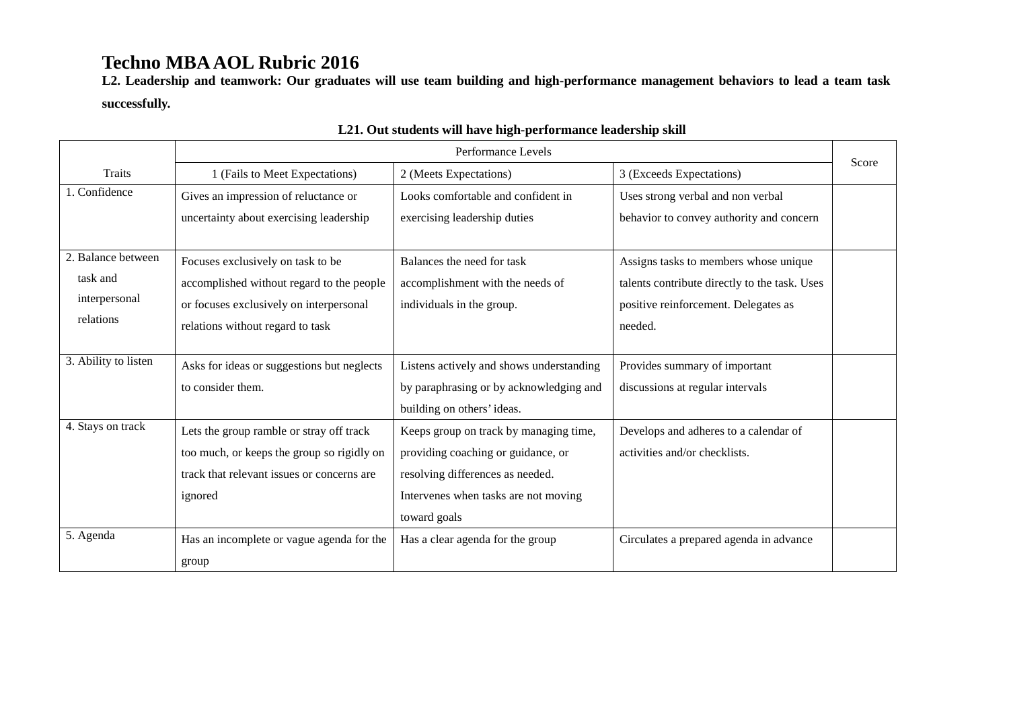**L2. Leadership and teamwork: Our graduates will use team building and high-performance management behaviors to lead a team task successfully.**

|                      |                                            | Performance Levels                       |                                               |       |
|----------------------|--------------------------------------------|------------------------------------------|-----------------------------------------------|-------|
| Traits               | 1 (Fails to Meet Expectations)             | 2 (Meets Expectations)                   | 3 (Exceeds Expectations)                      | Score |
| 1. Confidence        | Gives an impression of reluctance or       | Looks comfortable and confident in       | Uses strong verbal and non verbal             |       |
|                      | uncertainty about exercising leadership    | exercising leadership duties             | behavior to convey authority and concern      |       |
|                      |                                            |                                          |                                               |       |
| 2. Balance between   | Focuses exclusively on task to be          | Balances the need for task               | Assigns tasks to members whose unique         |       |
| task and             | accomplished without regard to the people  | accomplishment with the needs of         | talents contribute directly to the task. Uses |       |
| interpersonal        | or focuses exclusively on interpersonal    | individuals in the group.                | positive reinforcement. Delegates as          |       |
| relations            | relations without regard to task           |                                          | needed.                                       |       |
|                      |                                            |                                          |                                               |       |
| 3. Ability to listen | Asks for ideas or suggestions but neglects | Listens actively and shows understanding | Provides summary of important                 |       |
|                      | to consider them.                          | by paraphrasing or by acknowledging and  | discussions at regular intervals              |       |
|                      |                                            | building on others' ideas.               |                                               |       |
| 4. Stays on track    | Lets the group ramble or stray off track   | Keeps group on track by managing time,   | Develops and adheres to a calendar of         |       |
|                      | too much, or keeps the group so rigidly on | providing coaching or guidance, or       | activities and/or checklists.                 |       |
|                      | track that relevant issues or concerns are | resolving differences as needed.         |                                               |       |
|                      | ignored                                    | Intervenes when tasks are not moving     |                                               |       |
|                      |                                            | toward goals                             |                                               |       |
| 5. Agenda            | Has an incomplete or vague agenda for the  | Has a clear agenda for the group         | Circulates a prepared agenda in advance       |       |
|                      | group                                      |                                          |                                               |       |

### **L21. Out students will have high-performance leadership skill**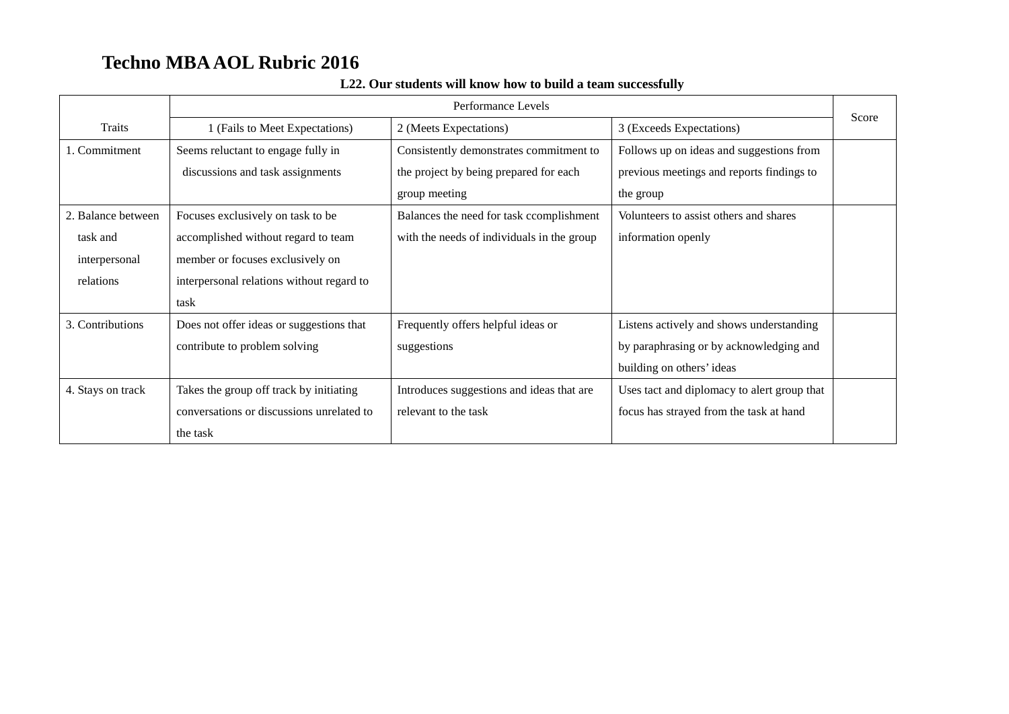|                    | Performance Levels                        |                                            |                                             |       |
|--------------------|-------------------------------------------|--------------------------------------------|---------------------------------------------|-------|
| <b>Traits</b>      | 1 (Fails to Meet Expectations)            | 2 (Meets Expectations)                     | 3 (Exceeds Expectations)                    | Score |
| 1. Commitment      | Seems reluctant to engage fully in        | Consistently demonstrates commitment to    | Follows up on ideas and suggestions from    |       |
|                    | discussions and task assignments          | the project by being prepared for each     | previous meetings and reports findings to   |       |
|                    |                                           | group meeting                              | the group                                   |       |
| 2. Balance between | Focuses exclusively on task to be         | Balances the need for task ccomplishment   | Volunteers to assist others and shares      |       |
| task and           | accomplished without regard to team       | with the needs of individuals in the group | information openly                          |       |
| interpersonal      | member or focuses exclusively on          |                                            |                                             |       |
| relations          | interpersonal relations without regard to |                                            |                                             |       |
|                    | task                                      |                                            |                                             |       |
| 3. Contributions   | Does not offer ideas or suggestions that  | Frequently offers helpful ideas or         | Listens actively and shows understanding    |       |
|                    | contribute to problem solving             | suggestions                                | by paraphrasing or by acknowledging and     |       |
|                    |                                           |                                            | building on others' ideas                   |       |
| 4. Stays on track  | Takes the group off track by initiating   | Introduces suggestions and ideas that are  | Uses tact and diplomacy to alert group that |       |
|                    | conversations or discussions unrelated to | relevant to the task                       | focus has strayed from the task at hand     |       |
|                    | the task                                  |                                            |                                             |       |

### **L22. Our students will know how to build a team successfully**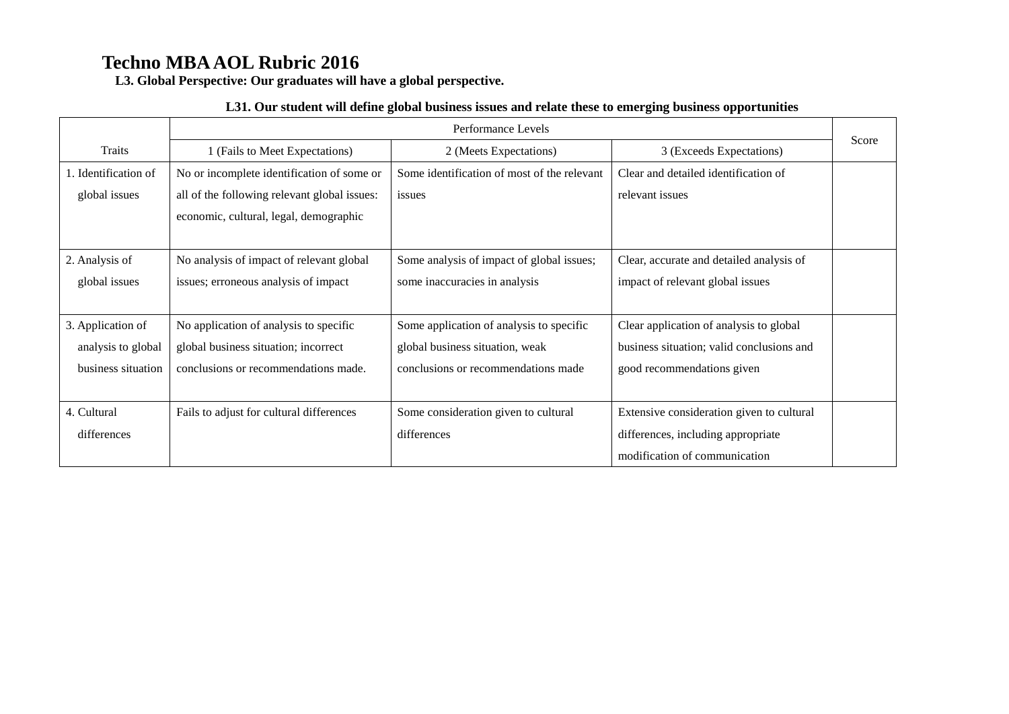**L3. Global Perspective: Our graduates will have a global perspective.**

#### **L31. Our student will define global business issues and relate these to emerging business opportunities**

|                      | Performance Levels                           |                                             |                                           |       |
|----------------------|----------------------------------------------|---------------------------------------------|-------------------------------------------|-------|
| Traits               | 1 (Fails to Meet Expectations)               | 2 (Meets Expectations)                      | 3 (Exceeds Expectations)                  | Score |
| 1. Identification of | No or incomplete identification of some or   | Some identification of most of the relevant | Clear and detailed identification of      |       |
| global issues        | all of the following relevant global issues: | issues                                      | relevant issues                           |       |
|                      | economic, cultural, legal, demographic       |                                             |                                           |       |
|                      |                                              |                                             |                                           |       |
| 2. Analysis of       | No analysis of impact of relevant global     | Some analysis of impact of global issues;   | Clear, accurate and detailed analysis of  |       |
| global issues        | issues; erroneous analysis of impact         | some inaccuracies in analysis               | impact of relevant global issues          |       |
|                      |                                              |                                             |                                           |       |
| 3. Application of    | No application of analysis to specific       | Some application of analysis to specific    | Clear application of analysis to global   |       |
| analysis to global   | global business situation; incorrect         | global business situation, weak             | business situation; valid conclusions and |       |
| business situation   | conclusions or recommendations made.         | conclusions or recommendations made         | good recommendations given                |       |
|                      |                                              |                                             |                                           |       |
| 4. Cultural          | Fails to adjust for cultural differences     | Some consideration given to cultural        | Extensive consideration given to cultural |       |
| differences          |                                              | differences                                 | differences, including appropriate        |       |
|                      |                                              |                                             | modification of communication             |       |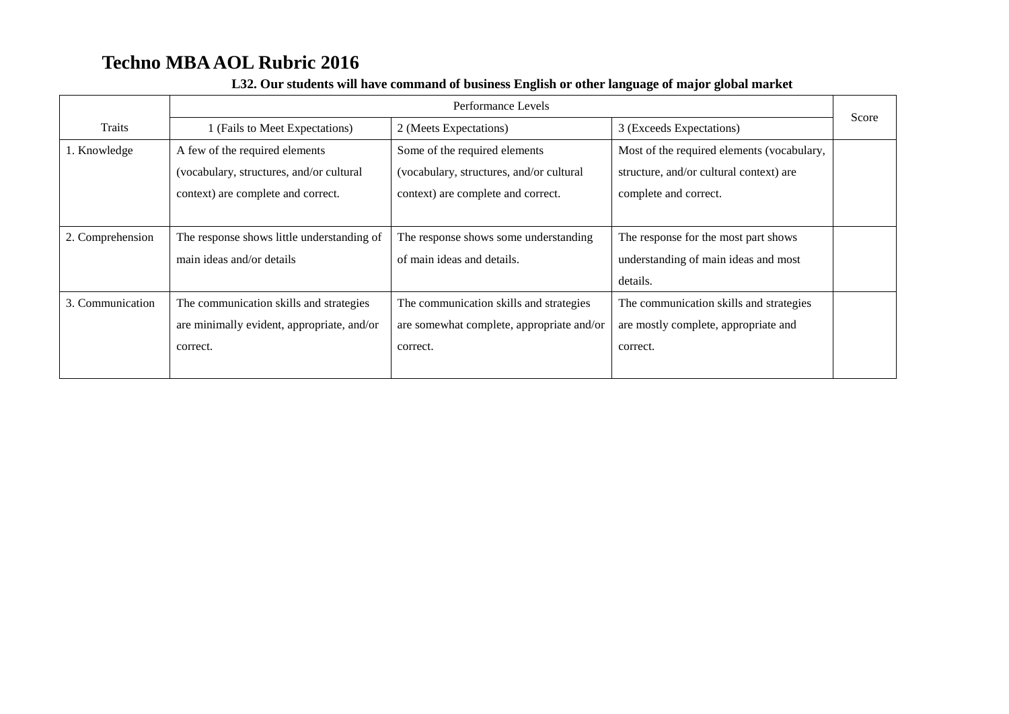|                  | Performance Levels                         |                                           |                                            |       |
|------------------|--------------------------------------------|-------------------------------------------|--------------------------------------------|-------|
| Traits           | (Fails to Meet Expectations)               | 2 (Meets Expectations)                    | 3 (Exceeds Expectations)                   | Score |
| 1. Knowledge     | A few of the required elements             | Some of the required elements             | Most of the required elements (vocabulary, |       |
|                  | (vocabulary, structures, and/or cultural   | (vocabulary, structures, and/or cultural  | structure, and/or cultural context) are    |       |
|                  | context) are complete and correct.         | context) are complete and correct.        | complete and correct.                      |       |
|                  |                                            |                                           |                                            |       |
| 2. Comprehension | The response shows little understanding of | The response shows some understanding     | The response for the most part shows       |       |
|                  | main ideas and/or details                  | of main ideas and details.                | understanding of main ideas and most       |       |
|                  |                                            |                                           | details.                                   |       |
| 3. Communication | The communication skills and strategies    | The communication skills and strategies   | The communication skills and strategies    |       |
|                  | are minimally evident, appropriate, and/or | are somewhat complete, appropriate and/or | are mostly complete, appropriate and       |       |
|                  | correct.                                   | correct.                                  | correct.                                   |       |
|                  |                                            |                                           |                                            |       |

#### **L32. Our students will have command of business English or other language of major global market**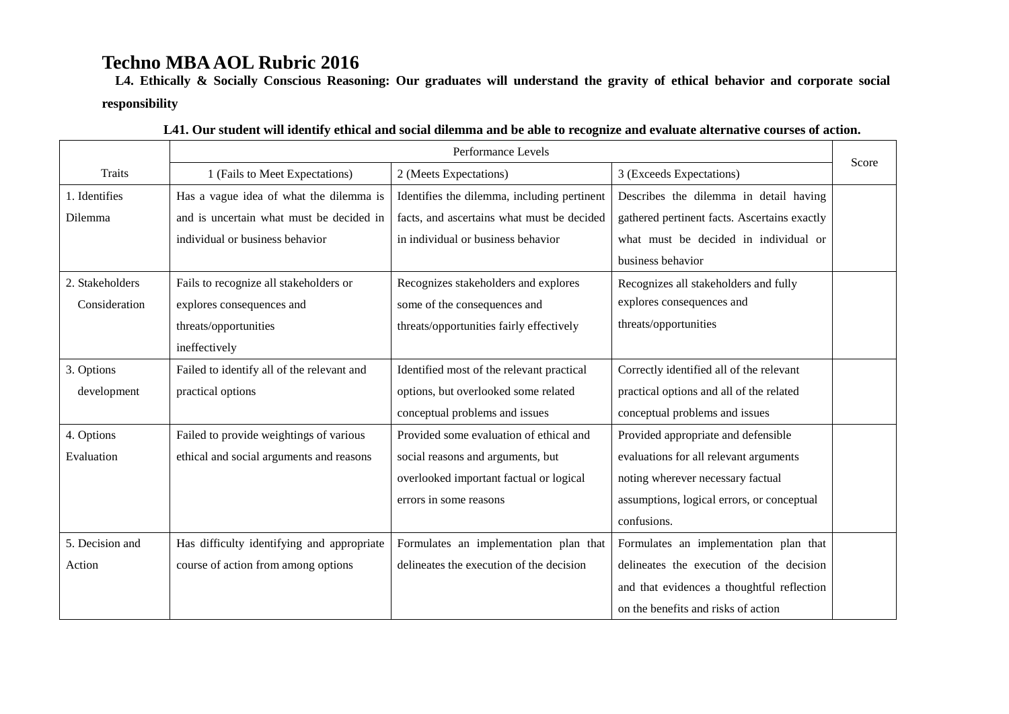**L4. Ethically & Socially Conscious Reasoning: Our graduates will understand the gravity of ethical behavior and corporate social responsibility**

|                 | Performance Levels                         |                                             |                                              |       |
|-----------------|--------------------------------------------|---------------------------------------------|----------------------------------------------|-------|
| <b>Traits</b>   | 1 (Fails to Meet Expectations)             | 2 (Meets Expectations)                      | 3 (Exceeds Expectations)                     | Score |
| 1. Identifies   | Has a vague idea of what the dilemma is    | Identifies the dilemma, including pertinent | Describes the dilemma in detail having       |       |
| Dilemma         | and is uncertain what must be decided in   | facts, and ascertains what must be decided  | gathered pertinent facts. Ascertains exactly |       |
|                 | individual or business behavior            | in individual or business behavior          | what must be decided in individual or        |       |
|                 |                                            |                                             | business behavior                            |       |
| 2. Stakeholders | Fails to recognize all stakeholders or     | Recognizes stakeholders and explores        | Recognizes all stakeholders and fully        |       |
| Consideration   | explores consequences and                  | some of the consequences and                | explores consequences and                    |       |
|                 | threats/opportunities                      | threats/opportunities fairly effectively    | threats/opportunities                        |       |
|                 | ineffectively                              |                                             |                                              |       |
| 3. Options      | Failed to identify all of the relevant and | Identified most of the relevant practical   | Correctly identified all of the relevant     |       |
| development     | practical options                          | options, but overlooked some related        | practical options and all of the related     |       |
|                 |                                            | conceptual problems and issues              | conceptual problems and issues               |       |
| 4. Options      | Failed to provide weightings of various    | Provided some evaluation of ethical and     | Provided appropriate and defensible          |       |
| Evaluation      | ethical and social arguments and reasons   | social reasons and arguments, but           | evaluations for all relevant arguments       |       |
|                 |                                            | overlooked important factual or logical     | noting wherever necessary factual            |       |
|                 |                                            | errors in some reasons                      | assumptions, logical errors, or conceptual   |       |
|                 |                                            |                                             | confusions.                                  |       |
| 5. Decision and | Has difficulty identifying and appropriate | Formulates an implementation plan that      | Formulates an implementation plan that       |       |
| Action          | course of action from among options        | delineates the execution of the decision    | delineates the execution of the decision     |       |
|                 |                                            |                                             | and that evidences a thoughtful reflection   |       |
|                 |                                            |                                             | on the benefits and risks of action          |       |

#### **L41. Our student will identify ethical and social dilemma and be able to recognize and evaluate alternative courses of action.**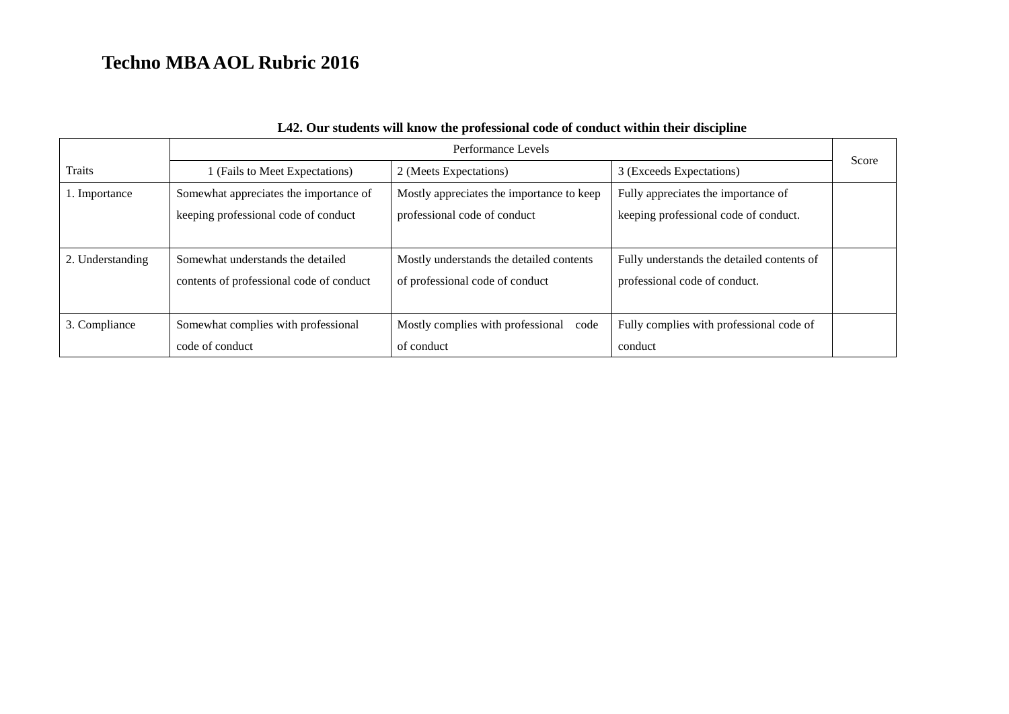|                  | Performance Levels                       |                                           |                                            | Score |
|------------------|------------------------------------------|-------------------------------------------|--------------------------------------------|-------|
| Traits           | 1 (Fails to Meet Expectations)           | 2 (Meets Expectations)                    | 3 (Exceeds Expectations)                   |       |
| 1. Importance    | Somewhat appreciates the importance of   | Mostly appreciates the importance to keep | Fully appreciates the importance of        |       |
|                  | keeping professional code of conduct     | professional code of conduct              | keeping professional code of conduct.      |       |
|                  |                                          |                                           |                                            |       |
| 2. Understanding | Somewhat understands the detailed        | Mostly understands the detailed contents  | Fully understands the detailed contents of |       |
|                  | contents of professional code of conduct | of professional code of conduct           | professional code of conduct.              |       |
|                  |                                          |                                           |                                            |       |
| 3. Compliance    | Somewhat complies with professional      | Mostly complies with professional code    | Fully complies with professional code of   |       |
|                  | code of conduct                          | of conduct                                | conduct                                    |       |

### **L42. Our students will know the professional code of conduct within their discipline**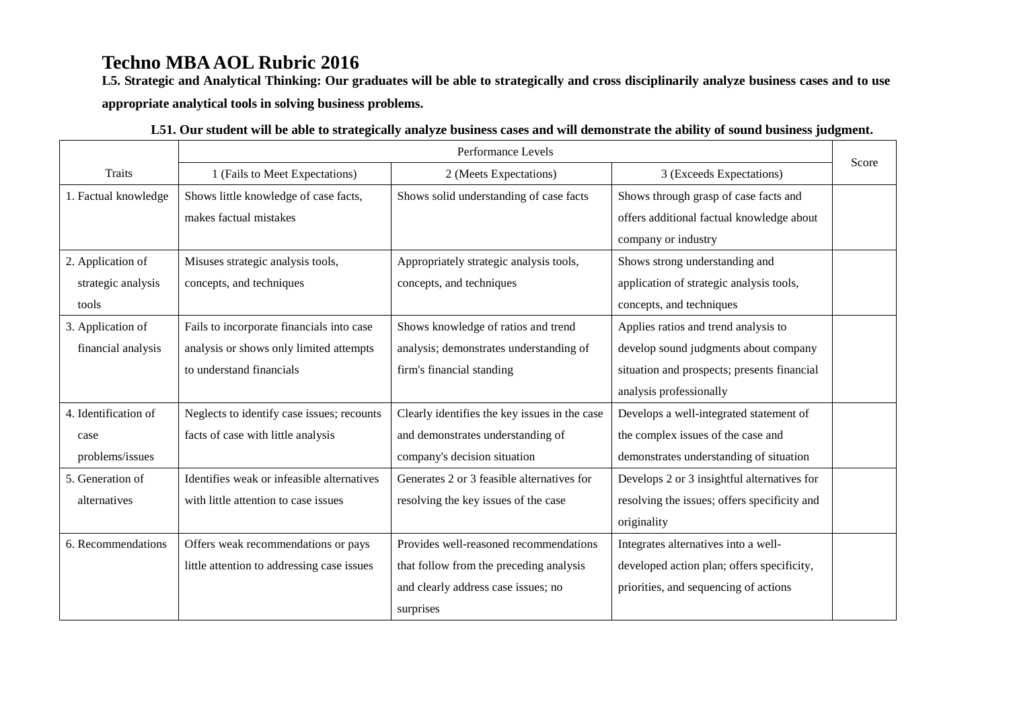**L5. Strategic and Analytical Thinking: Our graduates will be able to strategically and cross disciplinarily analyze business cases and to use appropriate analytical tools in solving business problems.** 

|                      | Performance Levels                         |                                               |                                              | Score |
|----------------------|--------------------------------------------|-----------------------------------------------|----------------------------------------------|-------|
| Traits               | 1 (Fails to Meet Expectations)             | 2 (Meets Expectations)                        | 3 (Exceeds Expectations)                     |       |
| 1. Factual knowledge | Shows little knowledge of case facts,      | Shows solid understanding of case facts       | Shows through grasp of case facts and        |       |
|                      | makes factual mistakes                     |                                               | offers additional factual knowledge about    |       |
|                      |                                            |                                               | company or industry                          |       |
| 2. Application of    | Misuses strategic analysis tools,          | Appropriately strategic analysis tools,       | Shows strong understanding and               |       |
| strategic analysis   | concepts, and techniques                   | concepts, and techniques                      | application of strategic analysis tools,     |       |
| tools                |                                            |                                               | concepts, and techniques                     |       |
| 3. Application of    | Fails to incorporate financials into case  | Shows knowledge of ratios and trend           | Applies ratios and trend analysis to         |       |
| financial analysis   | analysis or shows only limited attempts    | analysis; demonstrates understanding of       | develop sound judgments about company        |       |
|                      | to understand financials                   | firm's financial standing                     | situation and prospects; presents financial  |       |
|                      |                                            |                                               | analysis professionally                      |       |
| 4. Identification of | Neglects to identify case issues; recounts | Clearly identifies the key issues in the case | Develops a well-integrated statement of      |       |
| case                 | facts of case with little analysis         | and demonstrates understanding of             | the complex issues of the case and           |       |
| problems/issues      |                                            | company's decision situation                  | demonstrates understanding of situation      |       |
| 5. Generation of     | Identifies weak or infeasible alternatives | Generates 2 or 3 feasible alternatives for    | Develops 2 or 3 insightful alternatives for  |       |
| alternatives         | with little attention to case issues       | resolving the key issues of the case          | resolving the issues; offers specificity and |       |
|                      |                                            |                                               | originality                                  |       |
| 6. Recommendations   | Offers weak recommendations or pays        | Provides well-reasoned recommendations        | Integrates alternatives into a well-         |       |
|                      | little attention to addressing case issues | that follow from the preceding analysis       | developed action plan; offers specificity,   |       |
|                      |                                            | and clearly address case issues; no           | priorities, and sequencing of actions        |       |
|                      |                                            | surprises                                     |                                              |       |

| L51. Our student will be able to strategically analyze business cases and will demonstrate the ability of sound business judgment. |  |  |
|------------------------------------------------------------------------------------------------------------------------------------|--|--|
|------------------------------------------------------------------------------------------------------------------------------------|--|--|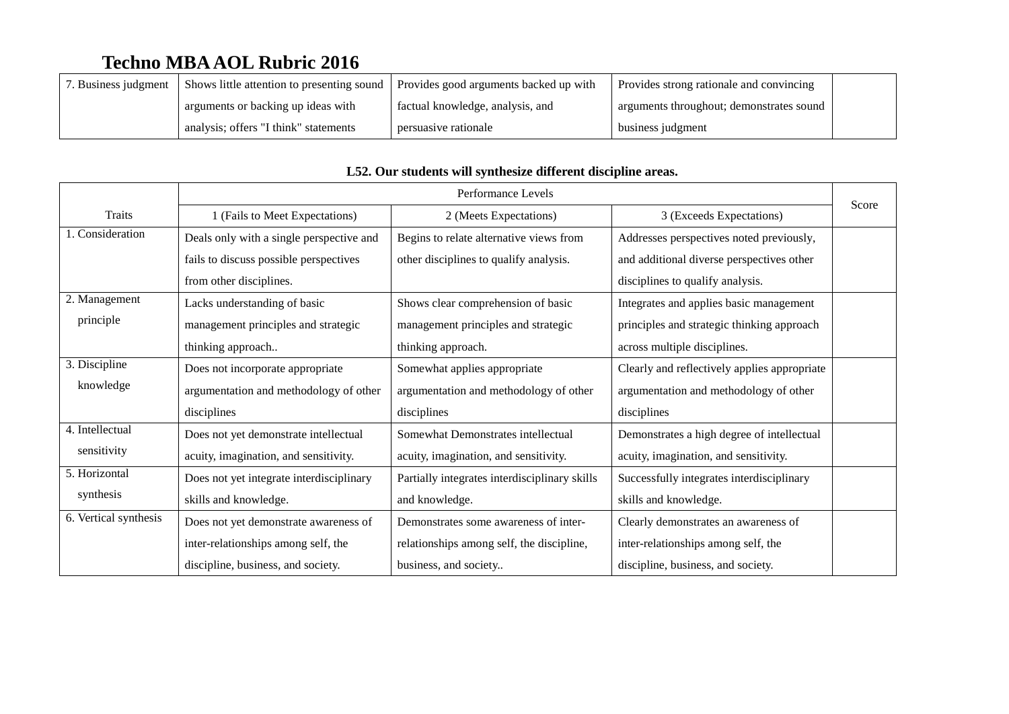| . Business judgment | Shows little attention to presenting sound | Provides good arguments backed up with | Provides strong rationale and convincing |  |
|---------------------|--------------------------------------------|----------------------------------------|------------------------------------------|--|
|                     | arguments or backing up ideas with         | factual knowledge, analysis, and       | arguments throughout; demonstrates sound |  |
|                     | analysis; offers "I think" statements      | persuasive rationale                   | business judgment                        |  |

|                       | Performance Levels                       |                                               |                                              |       |
|-----------------------|------------------------------------------|-----------------------------------------------|----------------------------------------------|-------|
| Traits                | 1 (Fails to Meet Expectations)           | 2 (Meets Expectations)                        | 3 (Exceeds Expectations)                     | Score |
| 1. Consideration      | Deals only with a single perspective and | Begins to relate alternative views from       | Addresses perspectives noted previously,     |       |
|                       | fails to discuss possible perspectives   | other disciplines to qualify analysis.        | and additional diverse perspectives other    |       |
|                       | from other disciplines.                  |                                               | disciplines to qualify analysis.             |       |
| 2. Management         | Lacks understanding of basic             | Shows clear comprehension of basic            | Integrates and applies basic management      |       |
| principle             | management principles and strategic      | management principles and strategic           | principles and strategic thinking approach   |       |
|                       | thinking approach                        | thinking approach.                            | across multiple disciplines.                 |       |
| 3. Discipline         | Does not incorporate appropriate         | Somewhat applies appropriate                  | Clearly and reflectively applies appropriate |       |
| knowledge             | argumentation and methodology of other   | argumentation and methodology of other        | argumentation and methodology of other       |       |
|                       | disciplines                              | disciplines                                   | disciplines                                  |       |
| 4. Intellectual       | Does not yet demonstrate intellectual    | Somewhat Demonstrates intellectual            | Demonstrates a high degree of intellectual   |       |
| sensitivity           | acuity, imagination, and sensitivity.    | acuity, imagination, and sensitivity.         | acuity, imagination, and sensitivity.        |       |
| 5. Horizontal         | Does not yet integrate interdisciplinary | Partially integrates interdisciplinary skills | Successfully integrates interdisciplinary    |       |
| synthesis             | skills and knowledge.                    | and knowledge.                                | skills and knowledge.                        |       |
| 6. Vertical synthesis | Does not yet demonstrate awareness of    | Demonstrates some awareness of inter-         | Clearly demonstrates an awareness of         |       |
|                       | inter-relationships among self, the      | relationships among self, the discipline,     | inter-relationships among self, the          |       |
|                       | discipline, business, and society.       | business, and society                         | discipline, business, and society.           |       |

### **L52. Our students will synthesize different discipline areas.**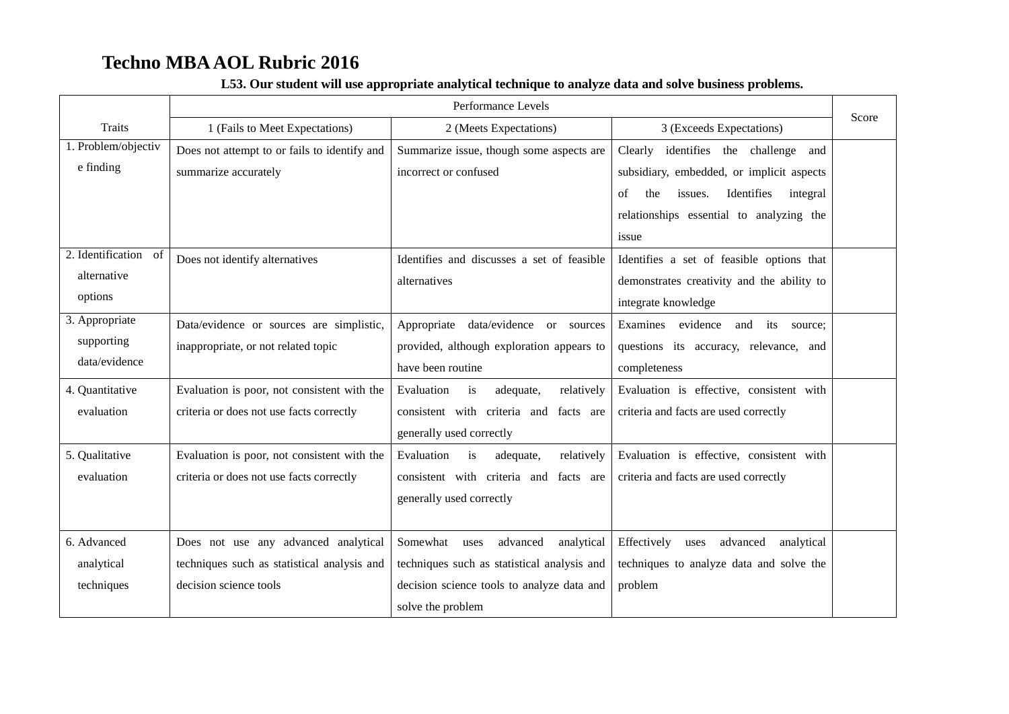|                                                | Performance Levels                                                                                            |                                                                                                                                                           |                                                                                                                | Score |  |
|------------------------------------------------|---------------------------------------------------------------------------------------------------------------|-----------------------------------------------------------------------------------------------------------------------------------------------------------|----------------------------------------------------------------------------------------------------------------|-------|--|
| <b>Traits</b>                                  | 1 (Fails to Meet Expectations)                                                                                | 2 (Meets Expectations)                                                                                                                                    | 3 (Exceeds Expectations)                                                                                       |       |  |
| 1. Problem/objectiv<br>e finding               | Does not attempt to or fails to identify and<br>summarize accurately                                          | Summarize issue, though some aspects are<br>incorrect or confused                                                                                         | Clearly<br>identifies the challenge and<br>subsidiary, embedded, or implicit aspects                           |       |  |
|                                                |                                                                                                               |                                                                                                                                                           | Identifies<br>the<br>issues.<br>integral<br>of<br>relationships essential to analyzing the<br>issue            |       |  |
| 2. Identification of<br>alternative<br>options | Does not identify alternatives                                                                                | Identifies and discusses a set of feasible<br>alternatives                                                                                                | Identifies a set of feasible options that<br>demonstrates creativity and the ability to<br>integrate knowledge |       |  |
| 3. Appropriate<br>supporting<br>data/evidence  | Data/evidence or sources are simplistic,<br>inappropriate, or not related topic                               | Appropriate<br>data/evidence or sources<br>provided, although exploration appears to<br>have been routine                                                 | evidence<br>Examines<br>and<br>its<br>source:<br>questions its accuracy, relevance, and<br>completeness        |       |  |
| 4. Quantitative<br>evaluation                  | Evaluation is poor, not consistent with the<br>criteria or does not use facts correctly                       | Evaluation<br>relatively<br>is<br>adequate,<br>consistent with criteria and<br>facts are<br>generally used correctly                                      | Evaluation is effective, consistent with<br>criteria and facts are used correctly                              |       |  |
| 5. Qualitative<br>evaluation                   | Evaluation is poor, not consistent with the<br>criteria or does not use facts correctly                       | Evaluation<br>is<br>adequate,<br>relatively<br>consistent with criteria and facts are<br>generally used correctly                                         | Evaluation is effective, consistent with<br>criteria and facts are used correctly                              |       |  |
| 6. Advanced<br>analytical<br>techniques        | Does not use any advanced analytical<br>techniques such as statistical analysis and<br>decision science tools | Somewhat uses<br>advanced<br>analytical<br>techniques such as statistical analysis and<br>decision science tools to analyze data and<br>solve the problem | Effectively<br>advanced<br>analytical<br>uses<br>techniques to analyze data and solve the<br>problem           |       |  |

### **L53. Our student will use appropriate analytical technique to analyze data and solve business problems.**